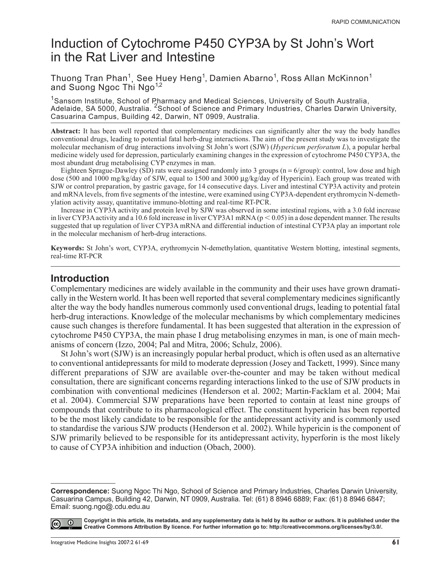# Induction of Cytochrome P450 CYP3A by St John's Wort in the Rat Liver and Intestine

Thuong Tran Phan<sup>1</sup>, See Huey Heng<sup>1</sup>, Damien Abarno<sup>1</sup>, Ross Allan McKinnon<sup>1</sup> and Suong Ngoc Thi Ngo<sup>1,2</sup>

<sup>1</sup>Sansom Institute, School of Pharmacy and Medical Sciences, University of South Australia, Adelaide, SA 5000, Australia. <sup>2</sup> School of Science and Primary Industries, Charles Darwin University, Casuarina Campus, Building 42, Darwin, NT 0909, Australia.

**Abstract:** It has been well reported that complementary medicines can significantly alter the way the body handles conventional drugs, leading to potential fatal herb-drug interactions. The aim of the present study was to investigate the molecular mechanism of drug interactions involving St John's wort (SJW) (*Hypericum perforatum L*), a popular herbal medicine widely used for depression, particularly examining changes in the expression of cytochrome P450 CYP3A, the most abundant drug metabolising CYP enzymes in man.

Eighteen Sprague-Dawley (SD) rats were assigned randomly into 3 groups ( $n = 6/$ group): control, low dose and high dose (500 and 1000 mg/kg/day of SJW, equal to 1500 and 3000 µg/kg/day of Hypericin). Each group was treated with SJW or control preparation, by gastric gavage, for 14 consecutive days. Liver and intestinal CYP3A activity and protein and mRNA levels, from five segments of the intestine, were examined using CYP3A-dependent erythromycin N-demethylation activity assay, quantitative immuno-blotting and real-time RT-PCR.

Increase in CYP3A activity and protein level by SJW was observed in some intestinal regions, with a 3.0 fold increase in liver CYP3A activity and a 10.6 fold increase in liver CYP3A1 mRNA ( $p < 0.05$ ) in a dose dependent manner. The results suggested that up regulation of liver CYP3A mRNA and differential induction of intestinal CYP3A play an important role in the molecular mechanism of herb-drug interactions.

**Keywords:** St John's wort, CYP3A, erythromycin N-demethylation, quantitative Western blotting, intestinal segments, real-time RT-PCR

#### **Introduction**

Complementary medicines are widely available in the community and their uses have grown dramatically in the Western world. It has been well reported that several complementary medicines significantly alter the way the body handles numerous commonly used conventional drugs, leading to potential fatal herb-drug interactions. Knowledge of the molecular mechanisms by which complementary medicines cause such changes is therefore fundamental. It has been suggested that alteration in the expression of cytochrome P450 CYP3A, the main phase I drug metabolising enzymes in man, is one of main mechanisms of concern (Izzo, 2004; Pal and Mitra, 2006; Schulz, 2006).

St John's wort (SJW) is an increasingly popular herbal product, which is often used as an alternative to conventional antidepressants for mild to moderate depression (Josey and Tackett, 1999). Since many different preparations of SJW are available over-the-counter and may be taken without medical consultation, there are significant concerns regarding interactions linked to the use of SJW products in combination with conventional medicines (Henderson et al. 2002; Martin-Facklam et al. 2004; Mai et al. 2004). Commercial SJW preparations have been reported to contain at least nine groups of compounds that contribute to its pharmacological effect. The constituent hypericin has been reported to be the most likely candidate to be responsible for the antidepressant activity and is commonly used to standardise the various SJW products (Henderson et al. 2002). While hypericin is the component of SJW primarily believed to be responsible for its antidepressant activity, hyperforin is the most likely to cause of CYP3A inhibition and induction (Obach, 2000).

**Correspondence:** Suong Ngoc Thi Ngo, School of Science and Primary Industries, Charles Darwin University, Casuarina Campus, Building 42, Darwin, NT 0909, Australia. Tel: (61) 8 8946 6889; Fax: (61) 8 8946 6847; Email: suong.ngo@.cdu.edu.au



**Copyright in this article, its metadata, and any supplementary data is held by its author or authors. It is published under the Creative Commons Attribution By licence. For further information go to: [http://creativecommons.org/licenses/by/3.0/.](http://creativecommons.org/licenses/by/3.0/)**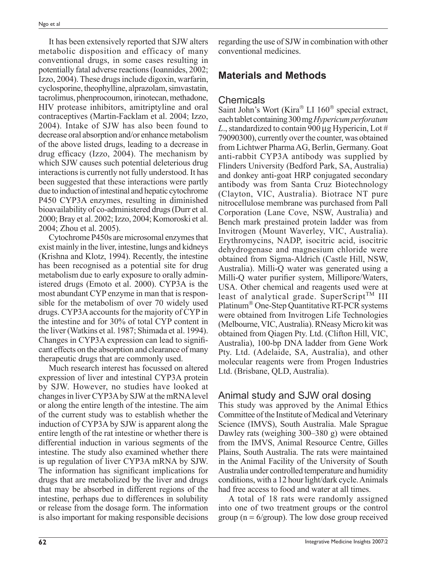It has been extensively reported that SJW alters metabolic disposition and efficacy of many conventional drugs, in some cases resulting in potentially fatal adverse reactions (Ioannides, 2002; Izzo, 2004). These drugs include digoxin, warfarin, cyclosporine, theophylline, alprazolam, simvastatin, tacrolimus, phenprocoumon, irinotecan, methadone, HIV protease inhibitors, amitriptyline and oral contraceptives (Martin-Facklam et al. 2004; Izzo, 2004). Intake of SJW has also been found to decrease oral absorption and/or enhance metabolism of the above listed drugs, leading to a decrease in drug efficacy (Izzo, 2004). The mechanism by which SJW causes such potential deleterious drug interactions is currently not fully understood. It has been suggested that these interactions were partly due to induction of intestinal and hepatic cytochrome P450 CYP3A enzymes, resulting in diminished bioavailability of co-administered drugs (Durr et al. 2000; Bray et al. 2002; Izzo, 2004; Komoroski et al. 2004; Zhou et al. 2005).

Cytochrome P450s are microsomal enzymes that exist mainly in the liver, intestine, lungs and kidneys (Krishna and Klotz, 1994). Recently, the intestine has been recognised as a potential site for drug metabolism due to early exposure to orally administered drugs (Emoto et al. 2000). CYP3A is the most abundant CYP enzyme in man that is responsible for the metabolism of over 70 widely used drugs. CYP3A accounts for the majority of CYP in the intestine and for 30% of total CYP content in the liver (Watkins et al. 1987; Shimada et al. 1994). Changes in CYP3A expression can lead to signifi cant effects on the absorption and clearance of many therapeutic drugs that are commonly used.

Much research interest has focussed on altered expression of liver and intestinal CYP3A protein by SJW. However, no studies have looked at changes in liver CYP3A by SJW at the mRNA level or along the entire length of the intestine. The aim of the current study was to establish whether the induction of CYP3A by SJW is apparent along the entire length of the rat intestine or whether there is differential induction in various segments of the intestine. The study also examined whether there is up regulation of liver CYP3A mRNA by SJW. The information has significant implications for drugs that are metabolized by the liver and drugs that may be absorbed in different regions of the intestine, perhaps due to differences in solubility or release from the dosage form. The information is also important for making responsible decisions regarding the use of SJW in combination with other conventional medicines.

# **Materials and Methods**

# Chemicals

Saint John's Wort (Kira® LI 160® special extract, each tablet containing 300 mg *Hypericum perforatum L*., standardized to contain 900 μg Hypericin, Lot # 79090300), currently over the counter, was obtained from Lichtwer Pharma AG, Berlin, Germany. Goat anti-rabbit CYP3A antibody was supplied by Flinders University (Bedford Park, SA, Australia) and donkey anti-goat HRP conjugated secondary antibody was from Santa Cruz Biotechnology (Clayton, VIC, Australia). Biotrace NT pure nitrocellulose membrane was purchased from Pall Corporation (Lane Cove, NSW, Australia) and Bench mark prestained protein ladder was from Invitrogen (Mount Waverley, VIC, Australia). Erythromycins, NADP, isocitric acid, isocitric dehydrogenase and magnesium chloride were obtained from Sigma-Aldrich (Castle Hill, NSW, Australia). Milli-Q water was generated using a Milli-Q water purifier system, Millipore/Waters, USA. Other chemical and reagents used were at least of analytical grade. SuperScript<sup>TM</sup> III Platinum® One-Step Quantitative RT-PCR systems were obtained from Invitrogen Life Technologies (Melbourne, VIC, Australia). RNeasy Micro kit was obtained from Qiagen Pty. Ltd. (Clifton Hill, VIC, Australia), 100-bp DNA ladder from Gene Work Pty. Ltd. (Adelaide, SA, Australia), and other molecular reagents were from Progen Industries Ltd. (Brisbane, QLD, Australia).

# Animal study and SJW oral dosing

This study was approved by the Animal Ethics Committee of the Institute of Medical and Veterinary Science (IMVS), South Australia. Male Sprague Dawley rats (weighing 300–380 g) were obtained from the IMVS, Animal Resource Centre, Gilles Plains, South Australia. The rats were maintained in the Animal Facility of the University of South Australia under controlled temperature and humidity conditions, with a 12 hour light/dark cycle. Animals had free access to food and water at all times.

A total of 18 rats were randomly assigned into one of two treatment groups or the control group ( $n = 6$ /group). The low dose group received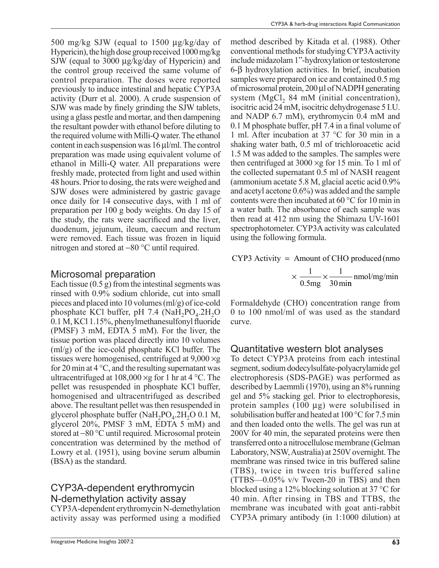500 mg/kg SJW (equal to 1500 µg/kg/day of Hypericin), the high dose group received 1000 mg/kg SJW (equal to 3000 µg/kg/day of Hypericin) and the control group received the same volume of control preparation. The doses were reported previously to induce intestinal and hepatic CYP3A activity (Durr et al. 2000). A crude suspension of SJW was made by finely grinding the SJW tablets, using a glass pestle and mortar, and then dampening the resultant powder with ethanol before diluting to the required volume with Milli-Q water. The ethanol content in each suspension was 16 µl/ml. The control preparation was made using equivalent volume of ethanol in Milli-Q water. All preparations were freshly made, protected from light and used within 48 hours. Prior to dosing, the rats were weighed and SJW doses were administered by gastric gavage once daily for 14 consecutive days, with 1 ml of preparation per 100 g body weights. On day 15 of the study, the rats were sacrificed and the liver, duodenum, jejunum, ileum, caecum and rectum were removed. Each tissue was frozen in liquid nitrogen and stored at −80 °C until required.

#### Microsomal preparation

Each tissue  $(0.5 g)$  from the intestinal segments was rinsed with 0.9% sodium chloride, cut into small pieces and placed into 10 volumes (ml/g) of ice-cold phosphate KCl buffer, pH 7.4 (NaH<sub>2</sub>PO<sub>4</sub>.2H<sub>2</sub>O  $0.1$  M, KCl  $1.15\%$ , phenylmethanesulfonyl fluoride (PMSF) 3 mM, EDTA 5 mM). For the liver, the tissue portion was placed directly into 10 volumes (ml/g) of the ice-cold phosphate KCl buffer. The tissues were homogenised, centrifuged at 9,000 ×g for 20 min at  $4^{\circ}$ C, and the resulting supernatant was ultracentrifuged at  $108,000 \times g$  for 1 hr at 4 °C. The pellet was resuspended in phosphate KCl buffer, homogenised and ultracentrifuged as described above. The resultant pellet was then resuspended in glycerol phosphate buffer (NaH<sub>2</sub>PO<sub>4</sub>.2H<sub>2</sub>O 0.1 M, glycerol 20%, PMSF 3 mM, EDTA 5 mM) and stored at −80 °C until required. Microsomal protein concentration was determined by the method of Lowry et al. (1951), using bovine serum albumin (BSA) as the standard.

### CYP3A-dependent erythromycin N-demethylation activity assay

CYP3A-dependent erythromycin N-demethylation activity assay was performed using a modified method described by Kitada et al. (1988). Other conventional methods for studying CYP3A activity include midazolam 1"-hydroxylation or testosterone 6-β hydroxylation activities. In brief, incubation samples were prepared on ice and contained 0.5 mg of microsomal protein, 200 µl of NADPH generating system (MgCl,  $84 \text{ mM}$  (initial concentration), isocitric acid 24 mM, isocitric dehydrogenase 5 I.U. and NADP 6.7 mM), erythromycin 0.4 mM and 0.1 M phosphate buffer, pH 7.4 in a final volume of 1 ml. After incubation at 37 °C for 30 min in a shaking water bath, 0.5 ml of trichloroacetic acid 1.5 M was added to the samples. The samples were then centrifuged at  $3000 \times g$  for 15 min. To 1 ml of the collected supernatant 0.5 ml of NASH reagent (ammonium acetate 5.8 M, glacial acetic acid 0.9% and acetyl acetone 0.6%) was added and the sample contents were then incubated at 60 °C for 10 min in a water bath. The absorbance of each sample was then read at 412 nm using the Shimazu UV-1601 spectrophotometer. CYP3A activity was calculated using the following formula.

CYP3 Activity = Amount of CHO produced (nmo  

$$
\times \frac{1}{0.5 \text{mg}} \times \frac{1}{30 \text{min}} \text{nmol/mg/min}
$$

Formaldehyde (CHO) concentration range from 0 to 100 nmol/ml of was used as the standard curve.

#### Quantitative western blot analyses

To detect CYP3A proteins from each intestinal segment, sodium dodecylsulfate-polyacrylamide gel electrophoresis (SDS-PAGE) was performed as described by Laemmli (1970), using an 8% running gel and 5% stacking gel. Prior to electrophoresis, protein samples (100 µg) were solubilised in solubilisation buffer and heated at 100 °C for 7.5 min and then loaded onto the wells. The gel was run at 200V for 40 min, the separated proteins were then transferred onto a nitrocellulose membrane (Gelman Laboratory, NSW, Australia) at 250V overnight. The membrane was rinsed twice in tris buffered saline (TBS), twice in tween tris buffered saline (TTBS—0.05% v/v Tween-20 in TBS) and then blocked using a 12% blocking solution at 37 °C for 40 min. After rinsing in TBS and TTBS, the membrane was incubated with goat anti-rabbit CYP3A primary antibody (in 1:1000 dilution) at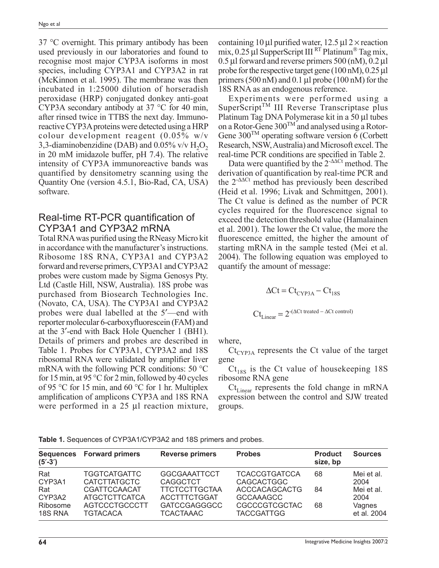37 °C overnight. This primary antibody has been used previously in our laboratories and found to recognise most major CYP3A isoforms in most species, including CYP3A1 and CYP3A2 in rat (McKinnon et al. 1995). The membrane was then incubated in 1:25000 dilution of horseradish peroxidase (HRP) conjugated donkey anti-goat CYP3A secondary antibody at 37 °C for 40 min, after rinsed twice in TTBS the next day. Immunoreactive CYP3A proteins were detected using a HRP colour development reagent (0.05% w/v 3,3-diaminobenzidine (DAB) and  $0.05\%$  v/v  $H_2O_2$ in 20 mM imidazole buffer, pH 7.4). The relative intensity of CYP3A immunoreactive bands was quantified by densitometry scanning using the Quantity One (version 4.5.1, Bio-Rad, CA, USA) software.

#### Real-time RT-PCR quantification of CYP3A1 and CYP3A2 mRNA

Total RNA was purified using the RNeasy Micro kit in accordance with the manufacturer's instructions. Ribosome 18S RNA, CYP3A1 and CYP3A2 forward and reverse primers, CYP3A1 and CYP3A2 probes were custom made by Sigma Genosys Pty. Ltd (Castle Hill, NSW, Australia). 18S probe was purchased from Biosearch Technologies Inc. (Novato, CA, USA). The CYP3A1 and CYP3A2 probes were dual labelled at the 5′—end with reporter molecular 6-carboxyfluorescein (FAM) and at the 3′-end with Back Hole Quencher 1 (BH1). Details of primers and probes are described in Table 1. Probes for CYP3A1, CYP3A2 and 18S ribosomal RNA were validated by amplifier liver mRNA with the following PCR conditions: 50 °C for 15 min, at 95 °C for 2 min, followed by 40 cycles of 95 °C for 15 min, and 60 °C for 1 hr. Multiplex amplification of amplicons CYP3A and 18S RNA were performed in a 25 µl reaction mixture,

containing 10 µl purified water,  $12.5 \mu$ l 2 × reaction mix,  $0.25 \mu$ l SupperScript III RT Platinum® Tag mix,  $0.5 \mu$ l forward and reverse primers 500 (nM),  $0.2 \mu$ l probe for the respective target gene (100 nM), 0.25 µl primers (500 nM) and 0.1 µl probe (100 nM) for the 18S RNA as an endogenous reference.

Experiments were performed using a  $SuperScript<sup>TM</sup>$  III Reverse Transcriptase plus Platinum Tag DNA Polymerase kit in a 50 µl tubes on a Rotor-Gene 300TM and analysed using a Rotor-Gene  $300^{TM}$  operating software version 6 (Corbett Research, NSW, Australia) and Microsoft excel. The real-time PCR conditions are specified in Table 2.

Data were quantified by the 2<sup>-∆∆Ct</sup> method. The derivation of quantification by real-time PCR and the 2-∆∆Ct method has previously been described (Heid et al. 1996; Livak and Schmittgen, 2001). The Ct value is defined as the number of PCR cycles required for the fluorescence signal to exceed the detection threshold value (Hamalainen et al. 2001). The lower the Ct value, the more the fluorescence emitted, the higher the amount of starting mRNA in the sample tested (Mei et al. 2004). The following equation was employed to quantify the amount of message:

$$
\Delta Ct = Ct_{\text{CYP3A}} - Ct_{18S}
$$

$$
Ct_{\text{Linear}} = 2^{-(\Delta Ct \text{ treated } - \Delta Ct \text{ control})}
$$

where,

 $Ct_{\text{CYP3A}}$  represents the Ct value of the target gene

 $Ct_{18S}$  is the Ct value of housekeeping 18S ribosome RNA gene

 $Ct_{Linear}$  represents the fold change in mRNA expression between the control and SJW treated groups.

| Table 1. Sequences of CYP3A1/CYP3A2 and 18S primers and probes. |  |
|-----------------------------------------------------------------|--|
|-----------------------------------------------------------------|--|

| $(5^{\prime}-3^{\prime})$                  | Sequences Forward primers                                                                                  | <b>Reverse primers</b>                                                                                       | <b>Probes</b>                                                                                          | <b>Product</b><br>size, bp | <b>Sources</b>                                     |
|--------------------------------------------|------------------------------------------------------------------------------------------------------------|--------------------------------------------------------------------------------------------------------------|--------------------------------------------------------------------------------------------------------|----------------------------|----------------------------------------------------|
| Rat<br>CYP3A1<br>Rat<br>CYP3A2<br>Ribosome | <b>TGGTCATGATTC</b><br><b>CATCTTATGCTC</b><br>CGATTCCAACAT<br><b>ATGCTCTTCATCA</b><br><b>AGTCCCTGCCCTT</b> | <b>GGCGAAATTCCT</b><br><b>CAGGCTCT</b><br><b>TTCTCCTTGCTAA</b><br><b>ACCTTTCTGGAT</b><br><b>GATCCGAGGGCC</b> | <b>TCACCGTGATCCA</b><br><b>CAGCACTGGC</b><br>ACCCACAGCACTG<br><b>GCCAAAGCC</b><br><b>CGCCCGTCGCTAC</b> | 68<br>84<br>68             | Mei et al.<br>2004<br>Mei et al.<br>2004<br>Vagnes |
| 18S RNA                                    | <b>TGTACACA</b>                                                                                            | <b>TCACTAAAC</b>                                                                                             | <b>TACCGATTGG</b>                                                                                      |                            | et al. 2004                                        |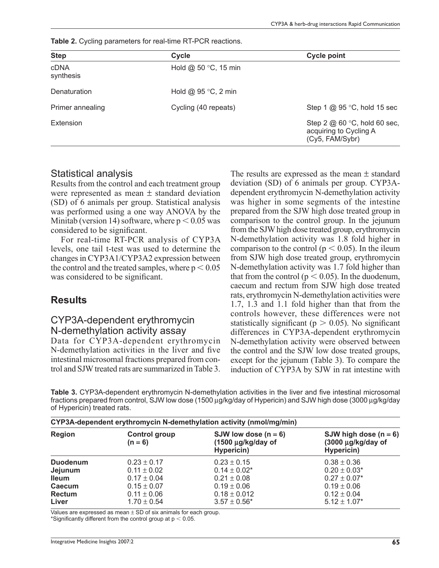**Table 2.** Cycling parameters for real-time RT-PCR reactions.

| <b>Step</b>              | Cycle                  | <b>Cycle point</b>                                                         |
|--------------------------|------------------------|----------------------------------------------------------------------------|
| <b>cDNA</b><br>synthesis | Hold $@$ 50 °C, 15 min |                                                                            |
| Denaturation             | Hold $@95 °C$ , 2 min  |                                                                            |
| Primer annealing         | Cycling (40 repeats)   | Step 1 $@$ 95 °C, hold 15 sec                                              |
| Extension                |                        | Step 2 $@60$ °C, hold 60 sec,<br>acquiring to Cycling A<br>(Cy5, FAM/Sybr) |

#### Statistical analysis

Results from the control and each treatment group were represented as mean ± standard deviation (SD) of 6 animals per group. Statistical analysis was performed using a one way ANOVA by the Minitab (version 14) software, where  $p < 0.05$  was considered to be significant.

For real-time RT-PCR analysis of CYP3A levels, one tail t-test was used to determine the changes in CYP3A1/CYP3A2 expression between the control and the treated samples, where  $p < 0.05$ was considered to be significant.

#### **Results**

#### CYP3A-dependent erythromycin N-demethylation activity assay

Data for CYP3A-dependent erythromycin N-demethylation activities in the liver and five intestinal microsomal fractions prepared from control and SJW treated rats are summarized in Table 3.

The results are expressed as the mean  $\pm$  standard deviation (SD) of 6 animals per group. CYP3Adependent erythromycin N-demethylation activity was higher in some segments of the intestine prepared from the SJW high dose treated group in comparison to the control group. In the jejunum from the SJW high dose treated group, erythromycin N-demethylation activity was 1.8 fold higher in comparison to the control ( $p < 0.05$ ). In the ileum from SJW high dose treated group, erythromycin N-demethylation activity was 1.7 fold higher than that from the control ( $p < 0.05$ ). In the duodenum, caecum and rectum from SJW high dose treated rats, erythromycin N-demethylation activities were 1.7, 1.3 and 1.1 fold higher than that from the controls however, these differences were not statistically significant ( $p > 0.05$ ). No significant differences in CYP3A-dependent erythromycin N-demethylation activity were observed between the control and the SJW low dose treated groups, except for the jejunum (Table 3). To compare the induction of CYP3A by SJW in rat intestine with

**Table 3.** CYP3A-dependent erythromycin N-demethylation activities in the liver and five intestinal microsomal fractions prepared from control, SJW low dose (1500 µg/kg/day of Hypericin) and SJW high dose (3000 µg/kg/day of Hypericin) treated rats.

| CYP3A-dependent erythromycin N-demethylation activity (nmol/mg/min) |                                   |                                                            |                                                             |  |
|---------------------------------------------------------------------|-----------------------------------|------------------------------------------------------------|-------------------------------------------------------------|--|
| <b>Region</b>                                                       | <b>Control group</b><br>$(n = 6)$ | SJW low dose $(n = 6)$<br>(1500 µg/kg/day of<br>Hypericin) | SJW high dose $(n = 6)$<br>(3000 µg/kg/day of<br>Hypericin) |  |
| <b>Duodenum</b>                                                     | $0.23 \pm 0.17$                   | $0.23 \pm 0.15$                                            | $0.38 \pm 0.36$                                             |  |
| Jejunum                                                             | $0.11 \pm 0.02$                   | $0.14 \pm 0.02^*$                                          | $0.20 \pm 0.03*$                                            |  |
| <b>Ileum</b>                                                        | $0.17 \pm 0.04$                   | $0.21 \pm 0.08$                                            | $0.27 \pm 0.07$ <sup>*</sup>                                |  |
| Caecum                                                              | $0.15 \pm 0.07$                   | $0.19 \pm 0.06$                                            | $0.19 \pm 0.06$                                             |  |
| <b>Rectum</b>                                                       | $0.11 \pm 0.06$                   | $0.18 \pm 0.012$                                           | $0.12 \pm 0.04$                                             |  |
| Liver                                                               | $1.70 \pm 0.54$                   | $3.57 \pm 0.56^*$                                          | $5.12 \pm 1.07^*$                                           |  |

Values are expressed as mean  $\pm$  SD of six animals for each group. \*Significantly different from the control group at  $p < 0.05$ .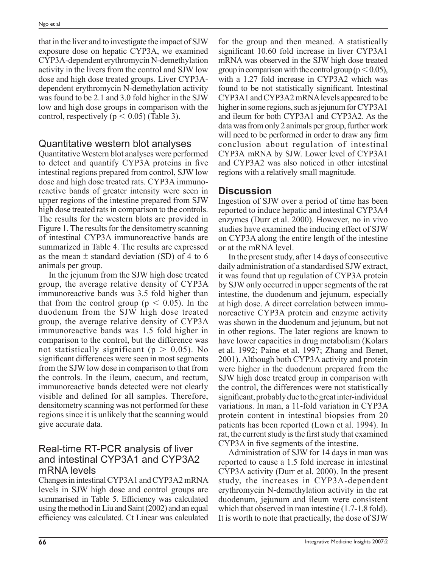that in the liver and to investigate the impact of SJW exposure dose on hepatic CYP3A, we examined CYP3A-dependent erythromycin N-demethylation activity in the livers from the control and SJW low dose and high dose treated groups. Liver CYP3Adependent erythromycin N-demethylation activity was found to be 2.1 and 3.0 fold higher in the SJW low and high dose groups in comparison with the control, respectively ( $p < 0.05$ ) (Table 3).

### Quantitative western blot analyses

Quantitative Western blot analyses were performed to detect and quantify CYP3A proteins in five intestinal regions prepared from control, SJW low dose and high dose treated rats. CYP3A immunoreactive bands of greater intensity were seen in upper regions of the intestine prepared from SJW high dose treated rats in comparison to the controls. The results for the western blots are provided in Figure 1. The results for the densitometry scanning of intestinal CYP3A immunoreactive bands are summarized in Table 4. The results are expressed as the mean  $\pm$  standard deviation (SD) of 4 to 6 animals per group.

In the jejunum from the SJW high dose treated group, the average relative density of CYP3A immunoreactive bands was 3.5 fold higher than that from the control group ( $p < 0.05$ ). In the duodenum from the SJW high dose treated group, the average relative density of CYP3A immunoreactive bands was 1.5 fold higher in comparison to the control, but the difference was not statistically significant ( $p > 0.05$ ). No significant differences were seen in most segments from the SJW low dose in comparison to that from the controls. In the ileum, caecum, and rectum, immunoreactive bands detected were not clearly visible and defined for all samples. Therefore, densitometry scanning was not performed for these regions since it is unlikely that the scanning would give accurate data.

### Real-time RT-PCR analysis of liver and intestinal CYP3A1 and CYP3A2 mRNA levels

Changes in intestinal CYP3A1 and CYP3A2 mRNA levels in SJW high dose and control groups are summarised in Table 5. Efficiency was calculated using the method in Liu and Saint (2002) and an equal efficiency was calculated. Ct Linear was calculated

for the group and then meaned. A statistically significant 10.60 fold increase in liver CYP3A1 mRNA was observed in the SJW high dose treated group in comparison with the control group ( $p < 0.05$ ), with a 1.27 fold increase in CYP3A2 which was found to be not statistically significant. Intestinal CYP3A1 and CYP3A2 mRNA levels appeared to be higher in some regions, such as jejunum for CYP3A1 and ileum for both CYP3A1 and CYP3A2. As the data was from only 2 animals per group, further work will need to be performed in order to draw any firm conclusion about regulation of intestinal CYP3A mRNA by SJW. Lower level of CYP3A1 and CYP3A2 was also noticed in other intestinal regions with a relatively small magnitude.

# **Discussion**

Ingestion of SJW over a period of time has been reported to induce hepatic and intestinal CYP3A4 enzymes (Durr et al. 2000). However, no in vivo studies have examined the inducing effect of SJW on CYP3A along the entire length of the intestine or at the mRNA level.

In the present study, after 14 days of consecutive daily administration of a standardised SJW extract, it was found that up regulation of CYP3A protein by SJW only occurred in upper segments of the rat intestine, the duodenum and jejunum, especially at high dose. A direct correlation between immunoreactive CYP3A protein and enzyme activity was shown in the duodenum and jejunum, but not in other regions. The later regions are known to have lower capacities in drug metabolism (Kolars et al. 1992; Paine et al. 1997; Zhang and Benet, 2001). Although both CYP3A activity and protein were higher in the duodenum prepared from the SJW high dose treated group in comparison with the control, the differences were not statistically significant, probably due to the great inter-individual variations. In man, a 11-fold variation in CYP3A protein content in intestinal biopsies from 20 patients has been reported (Lown et al. 1994). In rat, the current study is the first study that examined CYP3A in five segments of the intestine.

Administration of SJW for 14 days in man was reported to cause a 1.5 fold increase in intestinal CYP3A activity (Durr et al. 2000). In the present study, the increases in CYP3A-dependent erythromycin N-demethylation activity in the rat duodenum, jejunum and ileum were consistent which that observed in man intestine (1.7-1.8 fold). It is worth to note that practically, the dose of SJW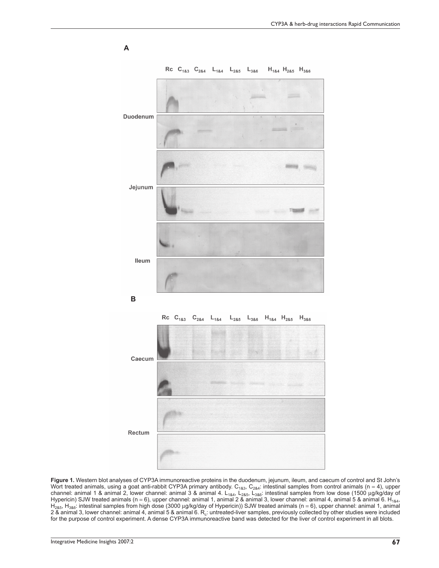

**Figure 1.** Western blot analyses of CYP3A immunoreactive proteins in the duodenum, jejunum, ileum, and caecum of control and St John's Wort treated animals, using a goat anti-rabbit CYP3A primary antibody. C<sub>1&3</sub>, C<sub>2&4</sub>: intestinal samples from control animals (n = 4), upper channel: animal 1 & animal 2, lower channel: animal 3 & animal 4. L<sub>1&4</sub>, L<sub>2&5</sub>, L<sub>3&6</sub>: intestinal samples from low dose (1500 µg/kg/day of Hypericin) SJW treated animals (n = 6), upper channel: animal 1, animal 2 & animal 3, lower channel: animal 4, animal 5 & animal 6. H<sub>1&4</sub>,  $H_{285}$ ,  $H_{386}$ : intestinal samples from high dose (3000 µg/kg/day of Hypericin)) SJW treated animals (n = 6), upper channel: animal 1, animal 2 & animal 3, lower channel: animal 4, animal 5 & animal 6.  $R_c$ : untreated-liver samples, previously collected by other studies were included for the purpose of control experiment. A dense CYP3A immunoreactive band was detected for the liver of control experiment in all blots.

**A**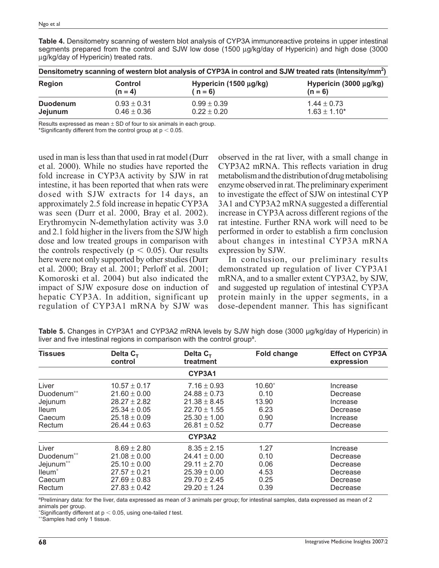| Densitometry scanning of western blot analysis of CYP3A in control and SJW treated rats (Intensity/mm <sup>2</sup> ) |                 |                        |                             |  |
|----------------------------------------------------------------------------------------------------------------------|-----------------|------------------------|-----------------------------|--|
| <b>Region</b>                                                                                                        | Control         | Hypericin (1500 µg/kg) | Hypericin $(3000 \mu g/kg)$ |  |
|                                                                                                                      | $(n = 4)$       | $(n=6)$                | $(n = 6)$                   |  |
| <b>Duodenum</b>                                                                                                      | $0.93 \pm 0.31$ | $0.99 \pm 0.39$        | $1.44 \pm 0.73$             |  |
| Jejunum                                                                                                              | $0.46 \pm 0.36$ | $0.22 \pm 0.20$        | $1.63 \pm 1.10^*$           |  |

**Table 4.** Densitometry scanning of western blot analysis of CYP3A immunoreactive proteins in upper intestinal segments prepared from the control and SJW low dose (1500 µg/kg/day of Hypericin) and high dose (3000 µg/kg/day of Hypericin) treated rats.

Results expressed as mean  $\pm$  SD of four to six animals in each group.

\*Significantly different from the control group at  $p < 0.05$ .

used in man is less than that used in rat model (Durr et al. 2000). While no studies have reported the fold increase in CYP3A activity by SJW in rat intestine, it has been reported that when rats were dosed with SJW extracts for 14 days, an approximately 2.5 fold increase in hepatic CYP3A was seen (Durr et al. 2000, Bray et al. 2002). Erythromycin N-demethylation activity was 3.0 and 2.1 fold higher in the livers from the SJW high dose and low treated groups in comparison with the controls respectively ( $p < 0.05$ ). Our results here were not only supported by other studies (Durr et al. 2000; Bray et al. 2001; Perloff et al. 2001; Komoroski et al. 2004) but also indicated the impact of SJW exposure dose on induction of hepatic CYP3A. In addition, significant up regulation of CYP3A1 mRNA by SJW was

observed in the rat liver, with a small change in CYP3A2 mRNA. This reflects variation in drug metabolism and the distribution of drug metabolising enzyme observed in rat. The preliminary experiment to investigate the effect of SJW on intestinal CYP 3A1 and CYP3A2 mRNA suggested a differential increase in CYP3A across different regions of the rat intestine. Further RNA work will need to be performed in order to establish a firm conclusion about changes in intestinal CYP3A mRNA expression by SJW.

In conclusion, our preliminary results demonstrated up regulation of liver CYP3A1 mRNA, and to a smaller extent CYP3A2, by SJW, and suggested up regulation of intestinal CYP3A protein mainly in the upper segments, in a dose-dependent manner. This has significant

| <b>Tissues</b>     | Delta $C_T$<br>control | Delta $C_T$<br>treatment | <b>Fold change</b> | <b>Effect on CYP3A</b><br>expression |
|--------------------|------------------------|--------------------------|--------------------|--------------------------------------|
|                    |                        | CYP3A1                   |                    |                                      |
| Liver              | $10.57 \pm 0.17$       | $7.16 \pm 0.93$          | 10.60              | Increase                             |
| Duodenum**         | $21.60 \pm 0.00$       | $24.88 \pm 0.73$         | 0.10               | Decrease                             |
| Jejunum            | $28.27 \pm 2.82$       | $21.38 \pm 8.45$         | 13.90              | Increase                             |
| <b>Ileum</b>       | $25.34 \pm 0.05$       | $22.70 \pm 1.55$         | 6.23               | Decrease                             |
| Caecum             | $25.18 \pm 0.09$       | $25.30 \pm 1.00$         | 0.90               | Increase                             |
| Rectum             | $26.44 \pm 0.63$       | $26.81 \pm 0.52$         | 0.77               | Decrease                             |
|                    |                        | CYP3A2                   |                    |                                      |
| Liver              | $8.69 \pm 2.80$        | $8.35 \pm 2.15$          | 1.27               | Increase                             |
| Duodenum**         | $21.08 \pm 0.00$       | $24.41 \pm 0.00$         | 0.10               | Decrease                             |
| Jejunum**          | $25.10 \pm 0.00$       | $29.11 \pm 2.70$         | 0.06               | Decrease                             |
| lleum <sup>*</sup> | $27.57 \pm 0.21$       | $25.39 \pm 0.00$         | 4.53               | Decrease                             |
| Caecum             | $27.69 \pm 0.83$       | $29.70 \pm 2.45$         | 0.25               | Decrease                             |
| Rectum             | $27.83 \pm 0.42$       | $29.20 \pm 1.24$         | 0.39               | Decrease                             |

**Table 5.** Changes in CYP3A1 and CYP3A2 mRNA levels by SJW high dose (3000 μg/kg/day of Hypericin) in liver and five intestinal regions in comparison with the control group<sup>a</sup>.

<sup>a</sup>Preliminary data: for the liver, data expressed as mean of 3 animals per group; for intestinal samples, data expressed as mean of 2 animals per group.

∗ Significantly different at p 0.05, using one-tailed *t* test.

∗∗Samples had only 1 tissue.